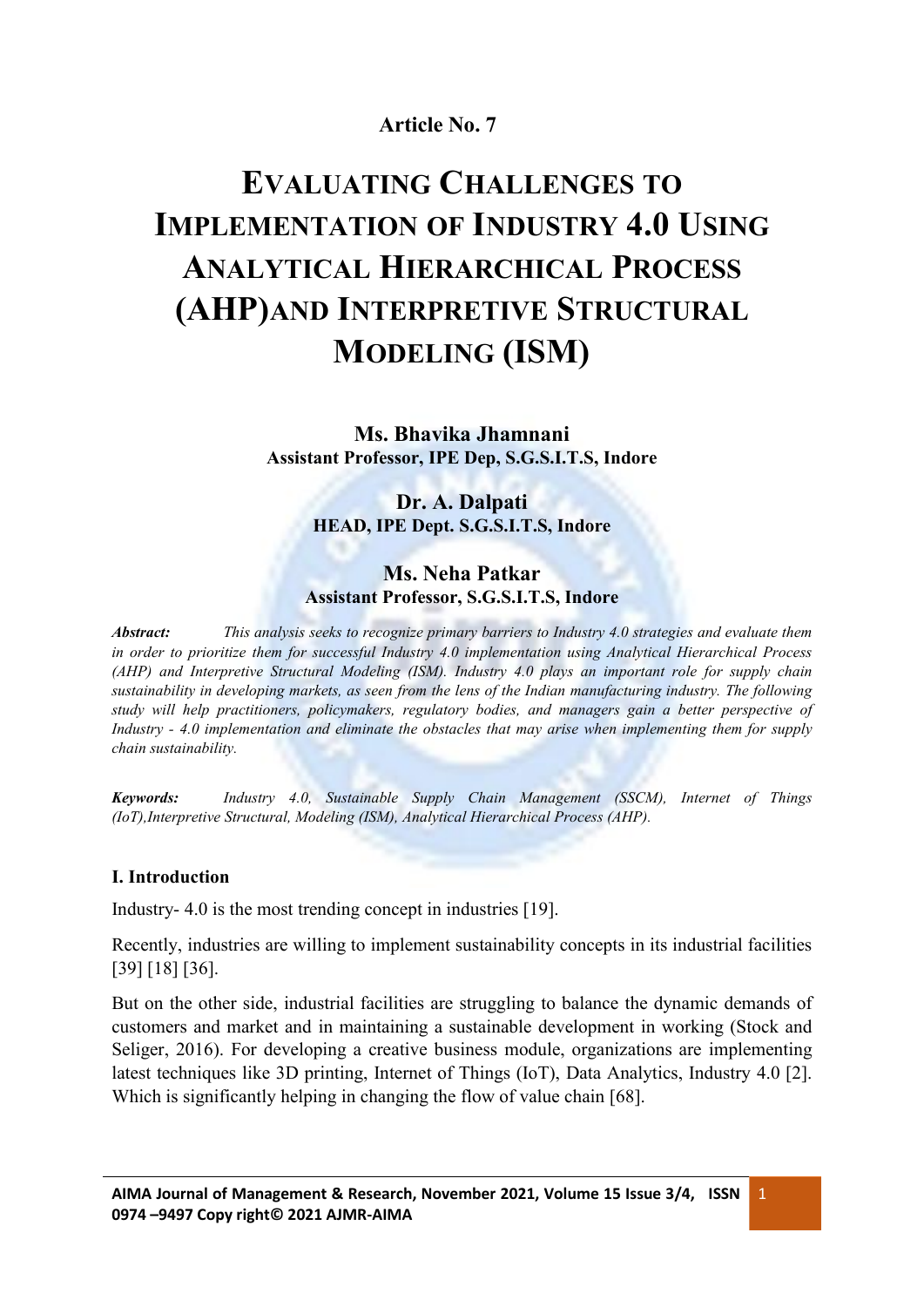# **Article No. 7**

# **EVALUATING CHALLENGES TO IMPLEMENTATION OF INDUSTRY 4.0 USING ANALYTICAL HIERARCHICAL PROCESS (AHP)AND INTERPRETIVE STRUCTURAL MODELING (ISM)**

**Ms. Bhavika Jhamnani Assistant Professor, IPE Dep, S.G.S.I.T.S, Indore**

> **Dr. A. Dalpati HEAD, IPE Dept. S.G.S.I.T.S, Indore**

## **Ms. Neha Patkar Assistant Professor, S.G.S.I.T.S, Indore**

*Abstract: This analysis seeks to recognize primary barriers to Industry 4.0 strategies and evaluate them in order to prioritize them for successful Industry 4.0 implementation using Analytical Hierarchical Process (AHP) and Interpretive Structural Modeling (ISM). Industry 4.0 plays an important role for supply chain sustainability in developing markets, as seen from the lens of the Indian manufacturing industry. The following study will help practitioners, policymakers, regulatory bodies, and managers gain a better perspective of Industry - 4.0 implementation and eliminate the obstacles that may arise when implementing them for supply chain sustainability.*

*Keywords: Industry 4.0, Sustainable Supply Chain Management (SSCM), Internet of Things (IoT),Interpretive Structural, Modeling (ISM), Analytical Hierarchical Process (AHP).*

#### **I. Introduction**

Industry- 4.0 is the most trending concept in industries [19].

Recently, industries are willing to implement sustainability concepts in its industrial facilities [39] [18] [36].

But on the other side, industrial facilities are struggling to balance the dynamic demands of customers and market and in maintaining a sustainable development in working (Stock and Seliger, 2016). For developing a creative business module, organizations are implementing latest techniques like 3D printing, Internet of Things (IoT), Data Analytics, Industry 4.0 [2]. Which is significantly helping in changing the flow of value chain [68].

1 and 1 and 1 and 1 and 1 and 1 and 1 and 1 and 1 and 1 and 1 and 1 and 1 and 1 and 1 and 1 and 1 and 1 and 1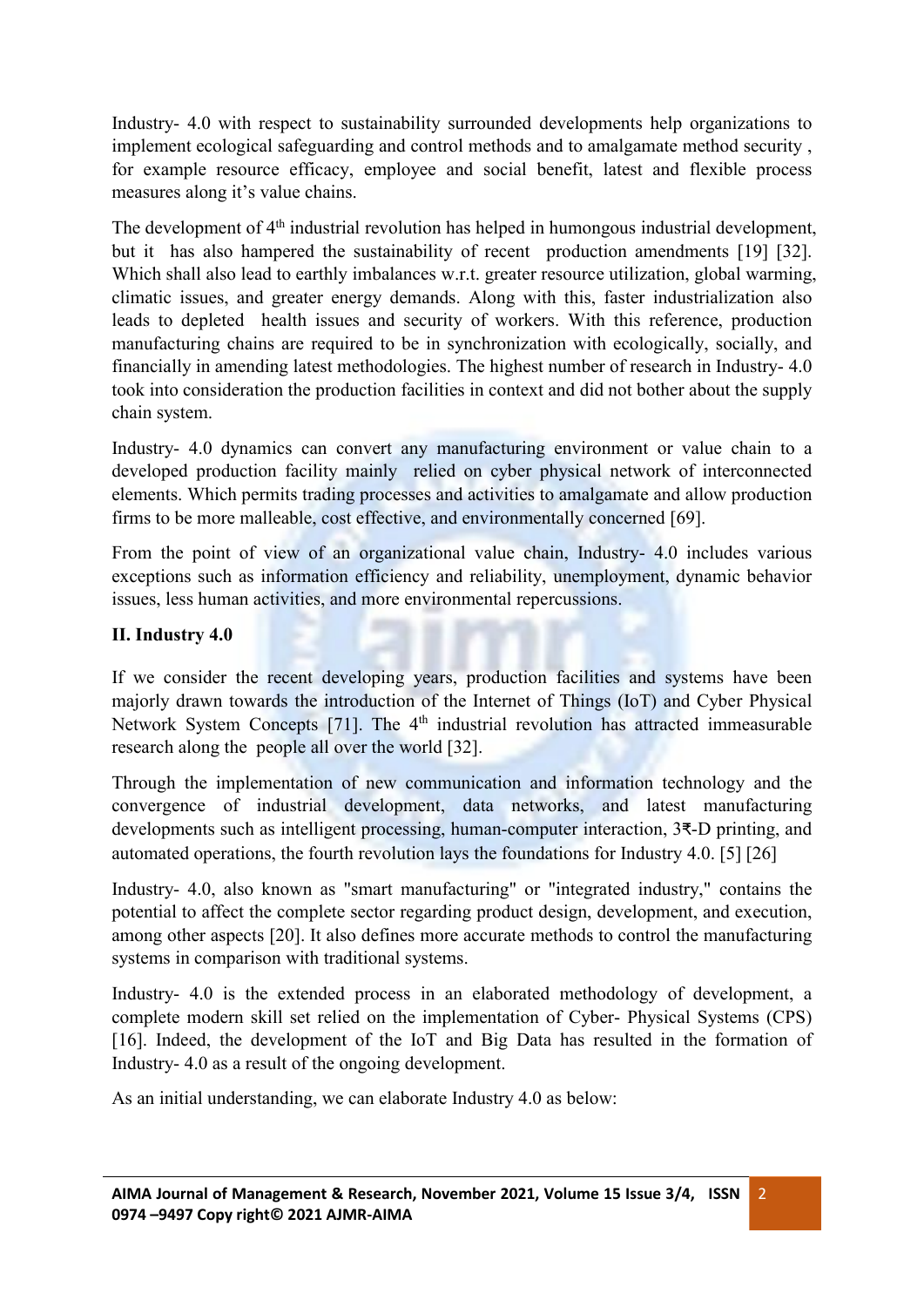Industry- 4.0 with respect to sustainability surrounded developments help organizations to implement ecological safeguarding and control methods and to amalgamate method security , for example resource efficacy, employee and social benefit, latest and flexible process measures along it's value chains.

The development of 4<sup>th</sup> industrial revolution has helped in humongous industrial development, but it has also hampered the sustainability of recent production amendments [19] [32]. Which shall also lead to earthly imbalances w.r.t. greater resource utilization, global warming, climatic issues, and greater energy demands. Along with this, faster industrialization also leads to depleted health issues and security of workers. With this reference, production manufacturing chains are required to be in synchronization with ecologically, socially, and financially in amending latest methodologies. The highest number of research in Industry- 4.0 took into consideration the production facilities in context and did not bother about the supply chain system.

Industry- 4.0 dynamics can convert any manufacturing environment or value chain to a developed production facility mainly relied on cyber physical network of interconnected elements. Which permits trading processes and activities to amalgamate and allow production firms to be more malleable, cost effective, and environmentally concerned [69].

From the point of view of an organizational value chain, Industry- 4.0 includes various exceptions such as information efficiency and reliability, unemployment, dynamic behavior issues, less human activities, and more environmental repercussions.

# **II. Industry 4.0**

If we consider the recent developing years, production facilities and systems have been majorly drawn towards the introduction of the Internet of Things (IoT) and Cyber Physical Network System Concepts [71]. The 4<sup>th</sup> industrial revolution has attracted immeasurable research along the people all over the world [32].

Through the implementation of new communication and information technology and the convergence of industrial development, data networks, and latest manufacturing developments such as intelligent processing, human-computer interaction, 3₹-D printing, and automated operations, the fourth revolution lays the foundations for Industry 4.0. [5][26]

Industry- 4.0, also known as "smart manufacturing" or "integrated industry," contains the potential to affect the complete sector regarding product design, development, and execution, among other aspects [20]. It also defines more accurate methods to control the manufacturing systems in comparison with traditional systems.

Industry- 4.0 is the extended process in an elaborated methodology of development, a complete modern skill set relied on the implementation of Cyber- Physical Systems (CPS) [16]. Indeed, the development of the IoT and Big Data has resulted in the formation of Industry- 4.0 as a result of the ongoing development.

2 and 2 and 2 and 2 and 2 and 2 and 2 and 2 and 2 and 2 and 2 and 2 and 2 and 2 and 2 and 2 and 2 and 2 and 2

As an initial understanding, we can elaborate Industry 4.0 as below: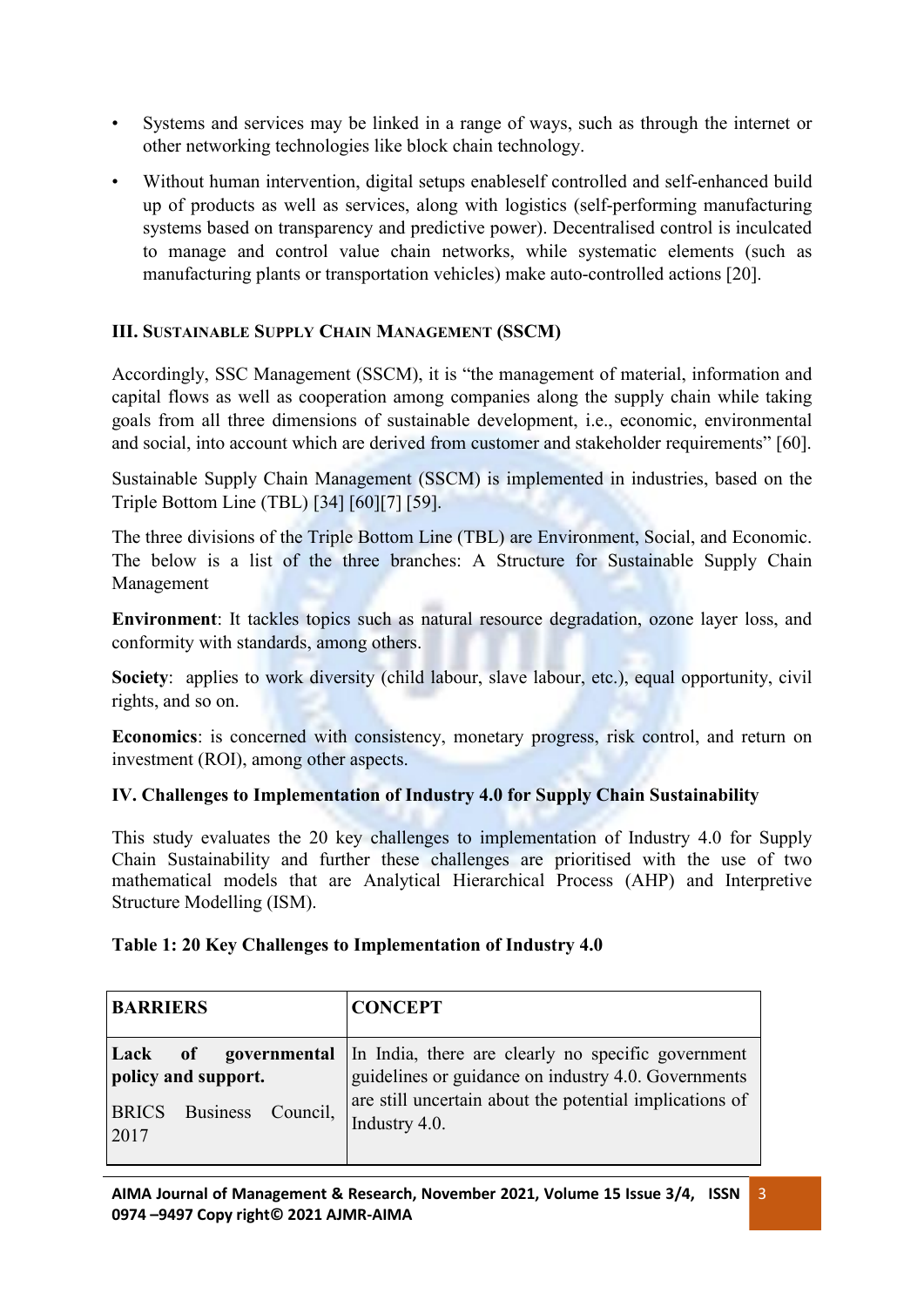- Systems and services may be linked in a range of ways, such as through the internet or other networking technologies like block chain technology.
- Without human intervention, digital setups enableself controlled and self-enhanced build up of products as well as services, along with logistics (self-performing manufacturing systems based on transparency and predictive power). Decentralised control is inculcated to manage and control value chain networks, while systematic elements (such as manufacturing plants or transportation vehicles) make auto-controlled actions [20].

# **III. SUSTAINABLE SUPPLY CHAIN MANAGEMENT (SSCM)**

Accordingly, SSC Management (SSCM), it is "the management of material, information and capital flows as well as cooperation among companies along the supply chain while taking goals from all three dimensions of sustainable development, i.e., economic, environmental and social, into account which are derived from customer and stakeholder requirements" [60].

Sustainable Supply Chain Management (SSCM) is implemented in industries, based on the Triple Bottom Line (TBL) [34] [60][7] [59].

The three divisions of the Triple Bottom Line (TBL) are Environment, Social, and Economic. The below is a list of the three branches: A Structure for Sustainable Supply Chain Management

**Environment**: It tackles topics such as natural resource degradation, ozone layer loss, and conformity with standards, among others.

**Society**: applies to work diversity (child labour, slave labour, etc.), equal opportunity, civil rights, and so on.

**Economics**: is concerned with consistency, monetary progress, risk control, and return on investment (ROI), among other aspects.

# **IV. Challenges to Implementation of Industry 4.0 for Supply Chain Sustainability**

This study evaluates the 20 key challenges to implementation of Industry 4.0 for Supply Chain Sustainability and further these challenges are prioritised with the use of two mathematical models that are Analytical Hierarchical Process (AHP) and Interpretive Structure Modelling (ISM).

## **Table 1: 20 Key Challenges to Implementation of Industry 4.0**

| <b>BARRIERS</b>                                                          | <b>CONCEPT</b>                                                                                                                                                                                        |
|--------------------------------------------------------------------------|-------------------------------------------------------------------------------------------------------------------------------------------------------------------------------------------------------|
| Lack<br>policy and support.<br><b>BRICS</b> Business<br>Council,<br>2017 | of governmental In India, there are clearly no specific government<br>guidelines or guidance on industry 4.0. Governments<br>are still uncertain about the potential implications of<br>Industry 4.0. |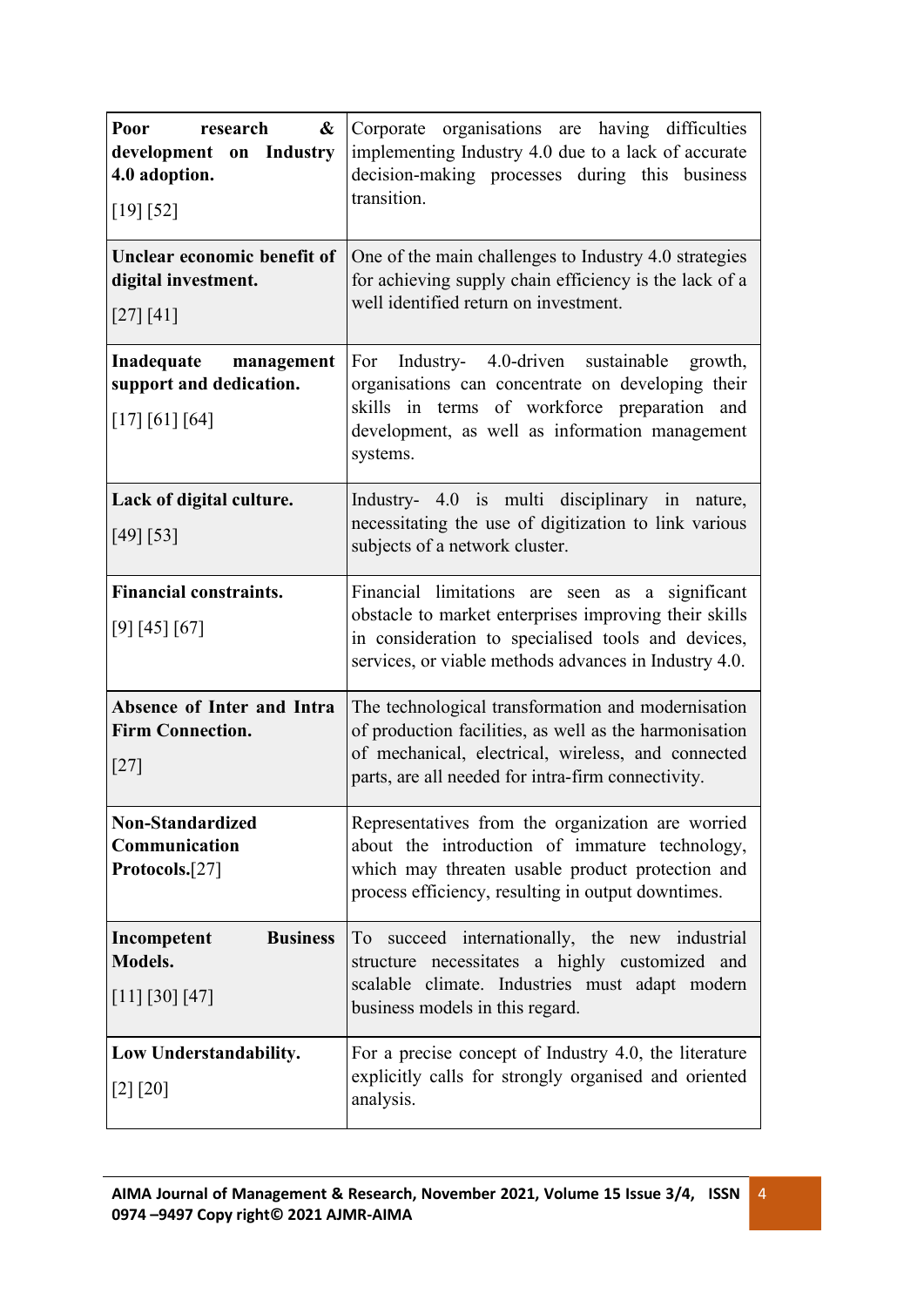| Poor<br>research<br>&<br>development on Industry<br>4.0 adoption.<br>[19] [52] | Corporate organisations are having difficulties<br>implementing Industry 4.0 due to a lack of accurate<br>decision-making processes during this business<br>transition.                                                  |  |  |
|--------------------------------------------------------------------------------|--------------------------------------------------------------------------------------------------------------------------------------------------------------------------------------------------------------------------|--|--|
| Unclear economic benefit of<br>digital investment.<br>[27] [41]                | One of the main challenges to Industry 4.0 strategies<br>for achieving supply chain efficiency is the lack of a<br>well identified return on investment.                                                                 |  |  |
| Inadequate<br>management<br>support and dedication.<br>[17] [61] [64]          | Industry- 4.0-driven sustainable<br>For<br>growth,<br>organisations can concentrate on developing their<br>skills in terms of workforce preparation and<br>development, as well as information management<br>systems.    |  |  |
| Lack of digital culture.<br>[49] [53]                                          | Industry- 4.0 is multi disciplinary in nature,<br>necessitating the use of digitization to link various<br>subjects of a network cluster.                                                                                |  |  |
| <b>Financial constraints.</b><br>[9] [45] [67]                                 | Financial limitations are seen as a significant<br>obstacle to market enterprises improving their skills<br>in consideration to specialised tools and devices,<br>services, or viable methods advances in Industry 4.0.  |  |  |
| Absence of Inter and Intra<br><b>Firm Connection.</b><br>$[27]$                | The technological transformation and modernisation<br>of production facilities, as well as the harmonisation<br>of mechanical, electrical, wireless, and connected<br>parts, are all needed for intra-firm connectivity. |  |  |
| <b>Non-Standardized</b><br>Communication<br>Protocols.[27]                     | Representatives from the organization are worried<br>about the introduction of immature technology,<br>which may threaten usable product protection and<br>process efficiency, resulting in output downtimes.            |  |  |
| <b>Business</b><br>Incompetent<br><b>Models.</b><br>[11] [30] [47]             | To succeed internationally, the new industrial<br>structure necessitates a highly customized and<br>scalable climate. Industries must adapt modern<br>business models in this regard.                                    |  |  |
| Low Understandability.<br>[2] [20]                                             | For a precise concept of Industry 4.0, the literature<br>explicitly calls for strongly organised and oriented<br>analysis.                                                                                               |  |  |

4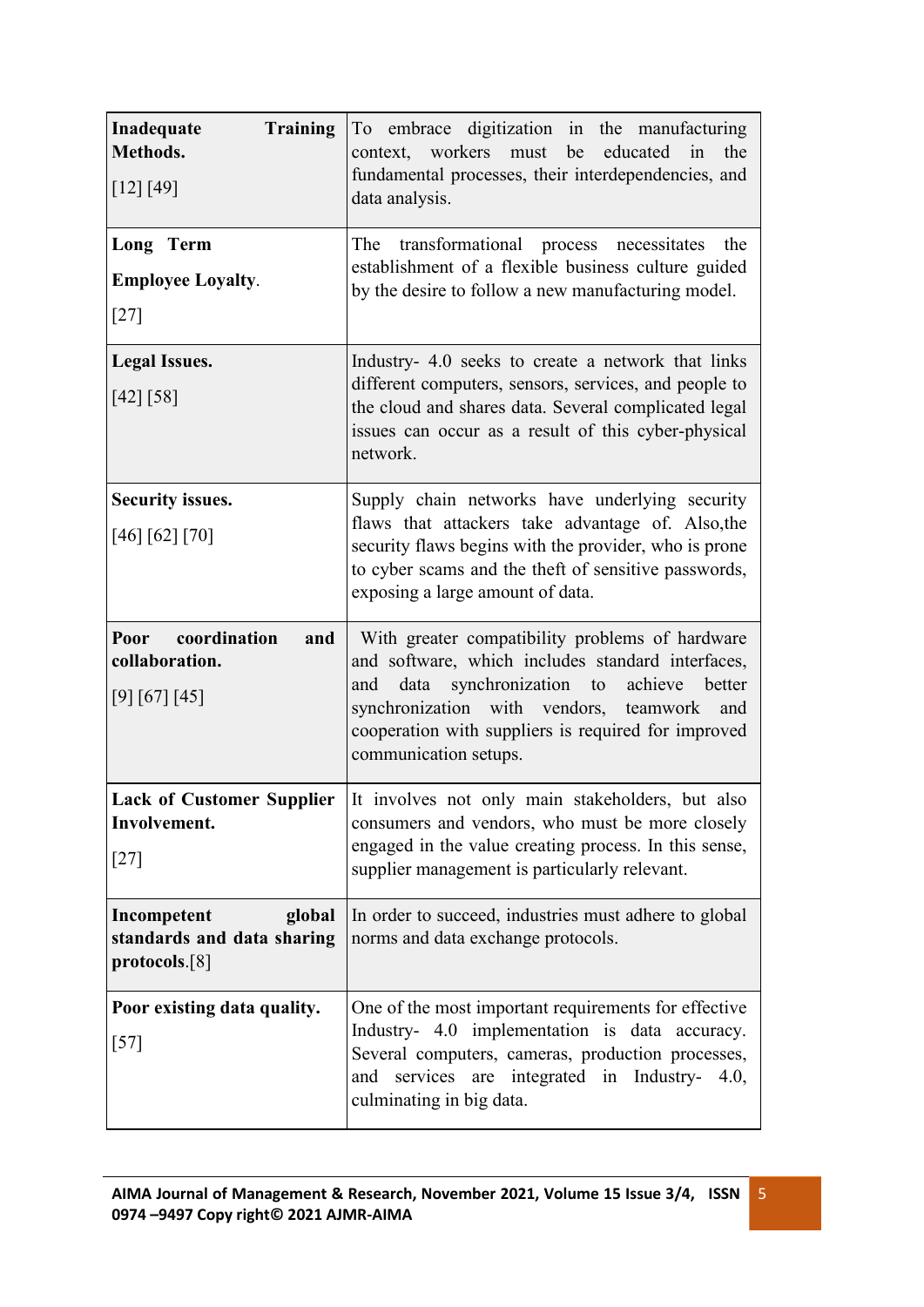| Inadequate<br><b>Training</b><br>Methods.<br>[12] [49]         | To embrace digitization in the manufacturing<br>context, workers must<br>educated<br>be<br>the<br>in<br>fundamental processes, their interdependencies, and<br>data analysis.                                                                                                                |  |
|----------------------------------------------------------------|----------------------------------------------------------------------------------------------------------------------------------------------------------------------------------------------------------------------------------------------------------------------------------------------|--|
| Long Term<br><b>Employee Loyalty.</b><br>$[27]$                | transformational process necessitates<br>The<br>the<br>establishment of a flexible business culture guided<br>by the desire to follow a new manufacturing model.                                                                                                                             |  |
| <b>Legal Issues.</b><br>[42] [58]                              | Industry- 4.0 seeks to create a network that links<br>different computers, sensors, services, and people to<br>the cloud and shares data. Several complicated legal<br>issues can occur as a result of this cyber-physical<br>network.                                                       |  |
| <b>Security issues.</b><br>[46] [62] [70]                      | Supply chain networks have underlying security<br>flaws that attackers take advantage of. Also, the<br>security flaws begins with the provider, who is prone<br>to cyber scams and the theft of sensitive passwords,<br>exposing a large amount of data.                                     |  |
| coordination<br>Poor<br>and<br>collaboration.<br>[9] [67] [45] | With greater compatibility problems of hardware<br>and software, which includes standard interfaces,<br>data synchronization to<br>achieve<br>better<br>and<br>synchronization with vendors, teamwork<br>and<br>cooperation with suppliers is required for improved<br>communication setups. |  |
| Involvement.<br>$[27]$                                         | Lack of Customer Supplier  It involves not only main stakeholders, but also<br>consumers and vendors, who must be more closely<br>engaged in the value creating process. In this sense,<br>supplier management is particularly relevant.                                                     |  |
| Incompetent<br>global<br>standards and data sharing            | In order to succeed, industries must adhere to global<br>norms and data exchange protocols.                                                                                                                                                                                                  |  |
| protocols.[8]                                                  |                                                                                                                                                                                                                                                                                              |  |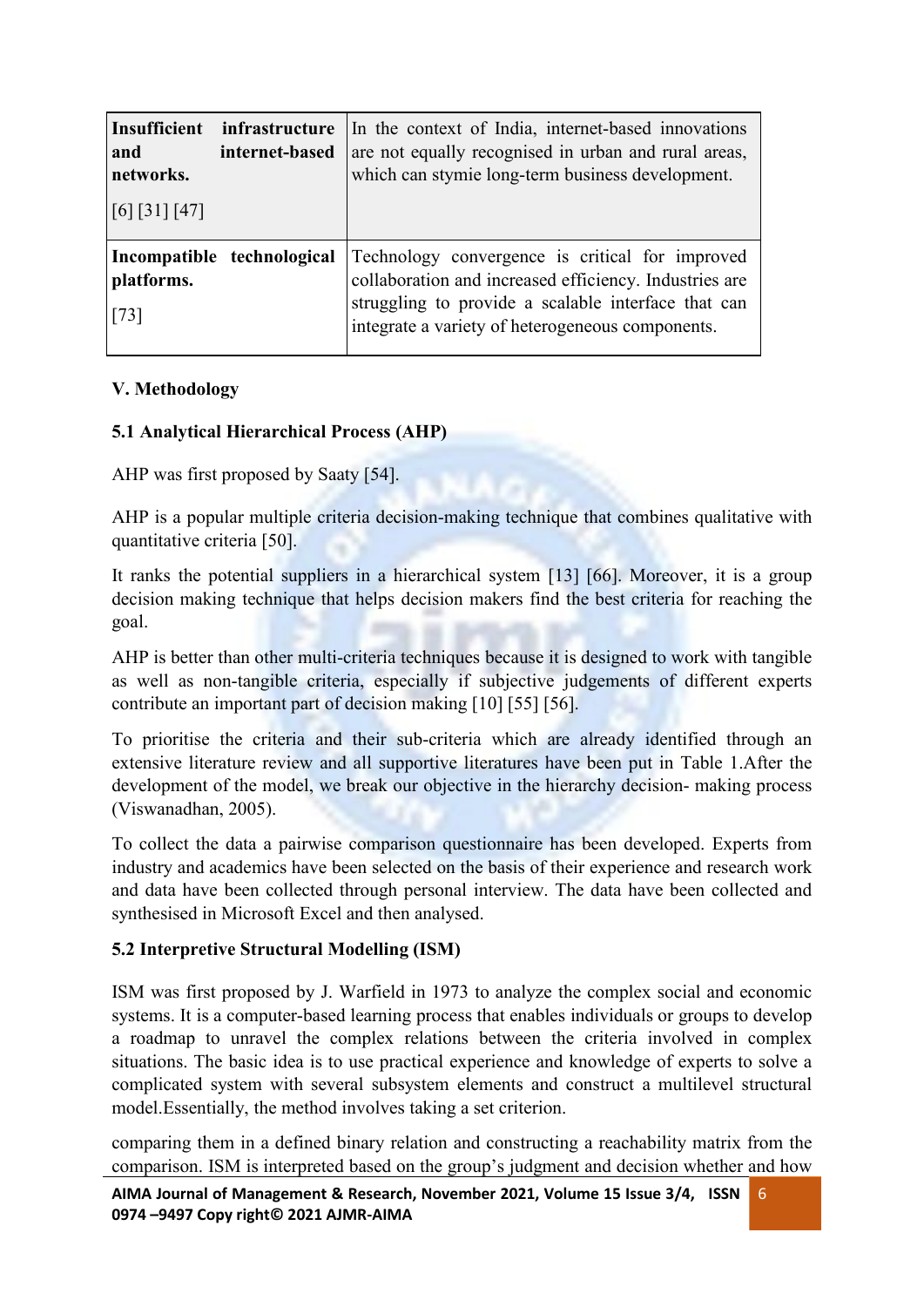| Insufficient<br>and<br>networks.<br>$\left[6\right] \left[31\right] \left[47\right]$ | infrastructure<br>internet-based | In the context of India, internet-based innovations<br>are not equally recognised in urban and rural areas,<br>which can stymie long-term business development.                                                      |
|--------------------------------------------------------------------------------------|----------------------------------|----------------------------------------------------------------------------------------------------------------------------------------------------------------------------------------------------------------------|
| platforms.<br>$\vert$ [73]                                                           | Incompatible technological       | Technology convergence is critical for improved<br>collaboration and increased efficiency. Industries are<br>struggling to provide a scalable interface that can<br>integrate a variety of heterogeneous components. |

## **V. Methodology**

## **5.1 Analytical Hierarchical Process (AHP)**

AHP was first proposed by Saaty [54].

AHP is a popular multiple criteria decision-making technique that combines qualitative with quantitative criteria [50].

It ranks the potential suppliers in a hierarchical system [13] [66]. Moreover, it is a group decision making technique that helps decision makers find the best criteria for reaching the goal.

AHP is better than other multi-criteria techniques because it is designed to work with tangible as well as non-tangible criteria, especially if subjective judgements of different experts contribute an important part of decision making [10] [55] [56].

To prioritise the criteria and their sub-criteria which are already identified through an extensive literature review and all supportive literatures have been put in Table 1.After the development of the model, we break our objective in the hierarchy decision- making process (Viswanadhan, 2005).

To collect the data a pairwise comparison questionnaire has been developed. Experts from industry and academics have been selected on the basis of their experience and research work and data have been collected through personal interview. The data have been collected and synthesised in Microsoft Excel and then analysed.

## **5.2 Interpretive Structural Modelling (ISM)**

ISM was first proposed by J. Warfield in 1973 to analyze the complex social and economic systems. It is a computer-based learning process that enables individuals or groups to develop a roadmap to unravel the complex relations between the criteria involved in complex situations. The basic idea is to use practical experience and knowledge of experts to solve a complicated system with several subsystem elements and construct a multilevel structural model.Essentially, the method involves taking a set criterion.

comparing them in a defined binary relation and constructing a reachability matrix from the comparison. ISM is interpreted based on the group's judgment and decision whether and how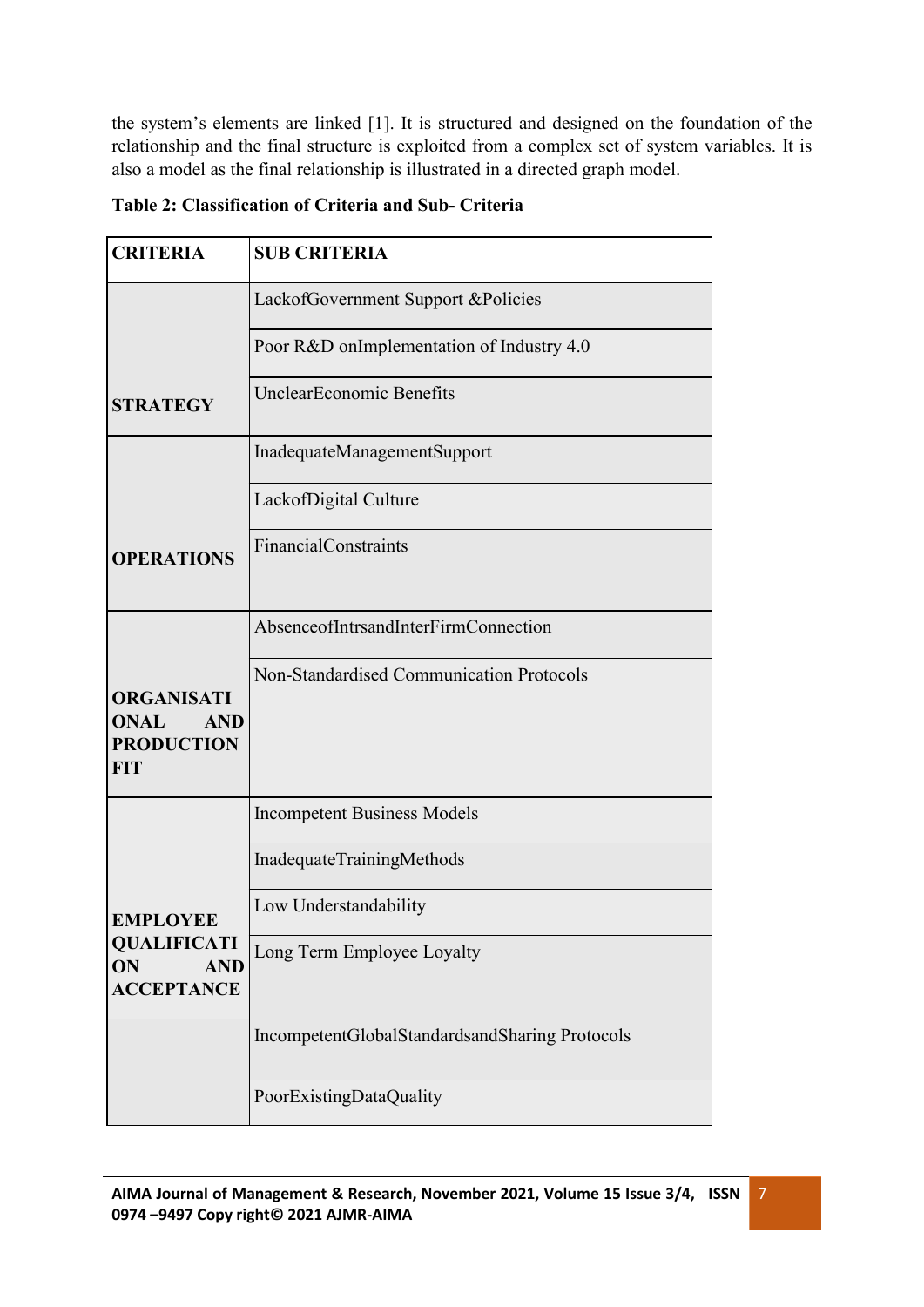the system's elements are linked [1]. It is structured and designed on the foundation of the relationship and the final structure is exploited from a complex set of system variables. It is also a model as the final relationship is illustrated in a directed graph model.

|--|--|--|

| <b>CRITERIA</b>                                                                   | <b>SUB CRITERIA</b>                            |
|-----------------------------------------------------------------------------------|------------------------------------------------|
|                                                                                   | LackofGovernment Support &Policies             |
|                                                                                   | Poor R&D onImplementation of Industry 4.0      |
| <b>STRATEGY</b>                                                                   | <b>UnclearEconomic Benefits</b>                |
|                                                                                   | InadequateManagementSupport                    |
|                                                                                   | LackofDigital Culture                          |
| <b>OPERATIONS</b>                                                                 | <b>FinancialConstraints</b>                    |
|                                                                                   | AbsenceofIntrsandInterFirmConnection           |
| <b>ORGANISATI</b><br><b>ONAL</b><br><b>AND</b><br><b>PRODUCTION</b><br><b>FIT</b> | Non-Standardised Communication Protocols       |
|                                                                                   | <b>Incompetent Business Models</b>             |
|                                                                                   | InadequateTrainingMethods                      |
| <b>EMPLOYEE</b>                                                                   | Low Understandability                          |
| <b>QUALIFICATI</b><br>ON<br><b>AND</b><br><b>ACCEPTANCE</b>                       | Long Term Employee Loyalty                     |
|                                                                                   | IncompetentGlobalStandardsandSharing Protocols |
|                                                                                   | PoorExistingDataQuality                        |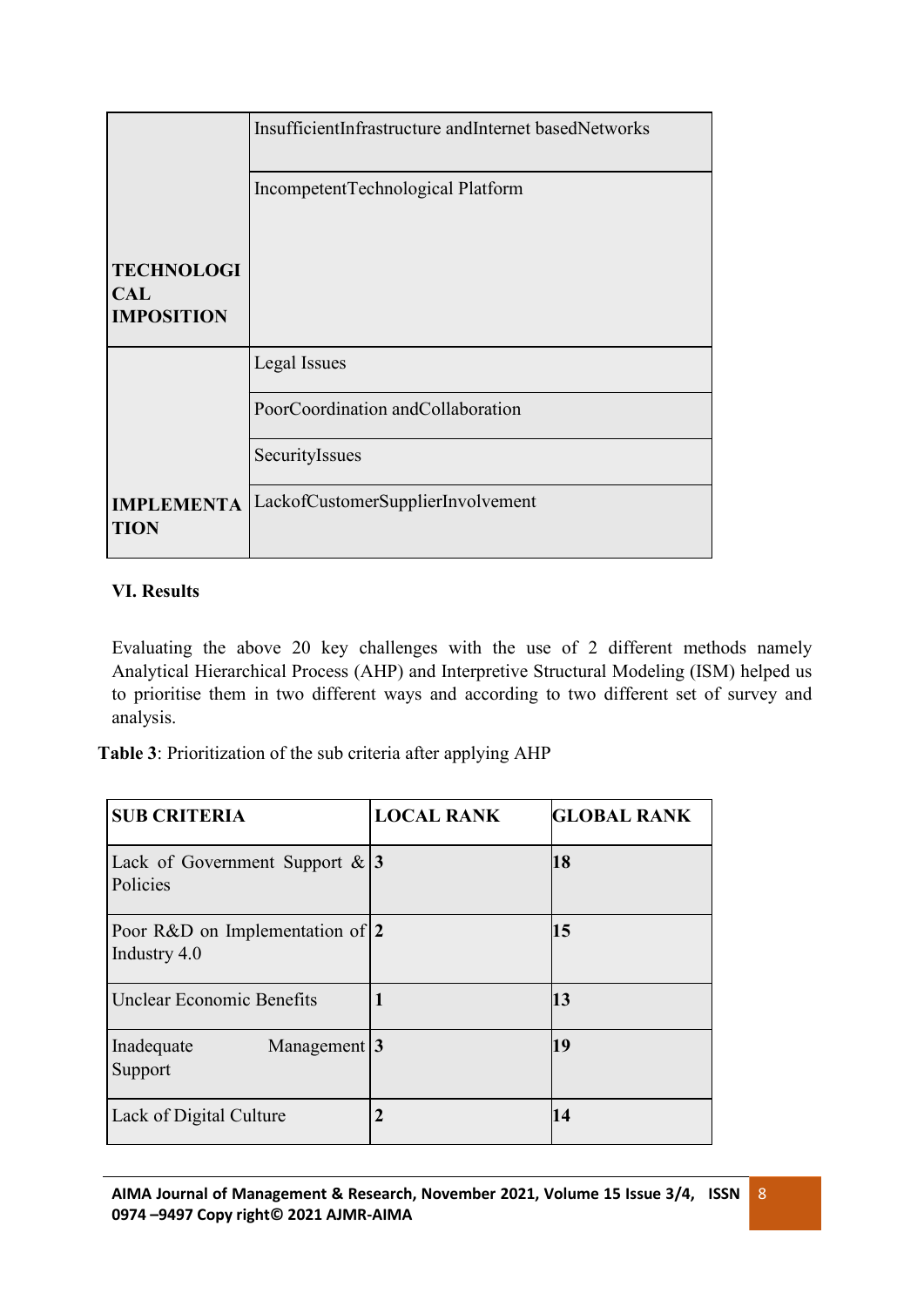|                                                      | InsufficientInfrastructure andInternet basedNetworks |
|------------------------------------------------------|------------------------------------------------------|
|                                                      | IncompetentTechnological Platform                    |
| <b>TECHNOLOGI</b><br><b>CAL</b><br><b>IMPOSITION</b> |                                                      |
|                                                      | Legal Issues                                         |
|                                                      | PoorCoordination andCollaboration                    |
|                                                      | SecurityIssues                                       |
| <b>IMPLEMENTA</b><br><b>TION</b>                     | LackofCustomerSupplierInvolvement                    |

# **VI. Results**

Evaluating the above 20 key challenges with the use of 2 different methods namely Analytical Hierarchical Process (AHP) and Interpretive Structural Modeling (ISM) helped us to prioritise them in two different ways and according to two different set of survey and analysis.

**Table 3**: Prioritization of the sub criteria after applying AHP

| <b>SUB CRITERIA</b>                                 | <b>LOCAL RANK</b> | <b>GLOBAL RANK</b> |
|-----------------------------------------------------|-------------------|--------------------|
| Lack of Government Support $\&$ 3<br>Policies       |                   | 18                 |
| Poor R&D on Implementation of $ 2 $<br>Industry 4.0 |                   | 15                 |
| <b>Unclear Economic Benefits</b>                    |                   | 13                 |
| Management $3$<br>Inadequate<br>Support             |                   | 19                 |
| Lack of Digital Culture                             | 2                 | 14                 |

8 and 200 million and 200 million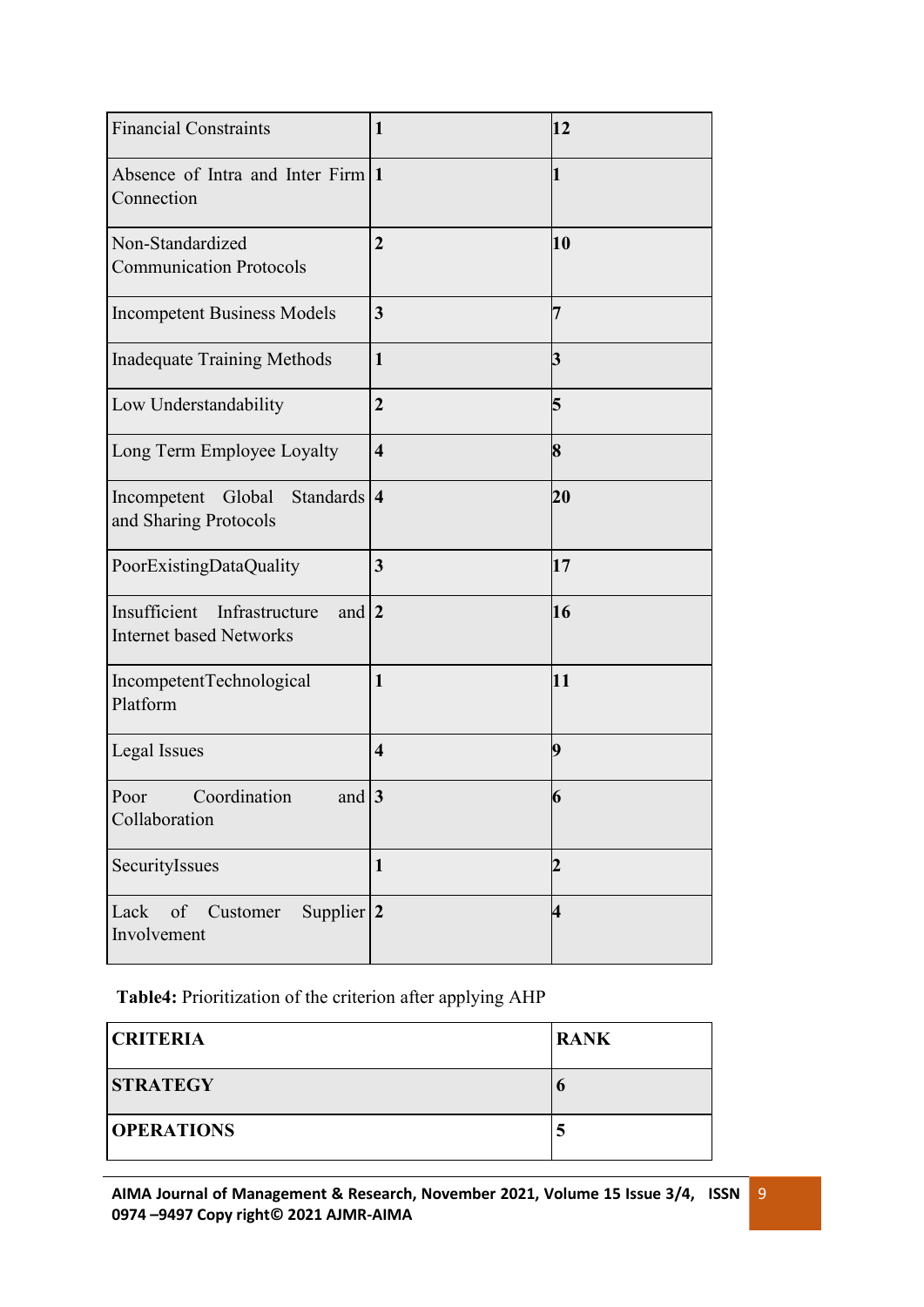| <b>Financial Constraints</b>                                                      | 1                       | 12                      |
|-----------------------------------------------------------------------------------|-------------------------|-------------------------|
| Absence of Intra and Inter Firm 1<br>Connection                                   |                         | 1                       |
| Non-Standardized<br><b>Communication Protocols</b>                                | $\overline{2}$          | 10                      |
| <b>Incompetent Business Models</b>                                                | $\overline{\mathbf{3}}$ | 7                       |
| <b>Inadequate Training Methods</b>                                                | $\mathbf{1}$            | 3                       |
| Low Understandability                                                             | $\overline{2}$          | 5                       |
| Long Term Employee Loyalty                                                        | $\overline{\mathbf{4}}$ | 8                       |
| Standards $ 4$<br>Incompetent<br>Global<br>and Sharing Protocols                  |                         | 20                      |
| PoorExistingDataQuality                                                           | 3                       | 17                      |
| Insufficient<br>Infrastructure<br>and $\vert$ 2<br><b>Internet based Networks</b> |                         | 16                      |
| IncompetentTechnological<br>Platform                                              | $\mathbf{1}$            | 11                      |
| Legal Issues                                                                      | $\overline{\mathbf{4}}$ | 9                       |
| Coordination<br>and $3$<br>Poor<br>Collaboration                                  |                         | 6                       |
| SecurityIssues                                                                    | $\mathbf{1}$            | $\overline{2}$          |
| Supplier $ 2$<br>Lack<br>of Customer<br>Involvement                               |                         | $\overline{\mathbf{4}}$ |

**Table4:** Prioritization of the criterion after applying AHP

| <b>CRITERIA</b>   | <b>RANK</b> |
|-------------------|-------------|
| <b>STRATEGY</b>   |             |
| <b>OPERATIONS</b> | $\sim$      |

9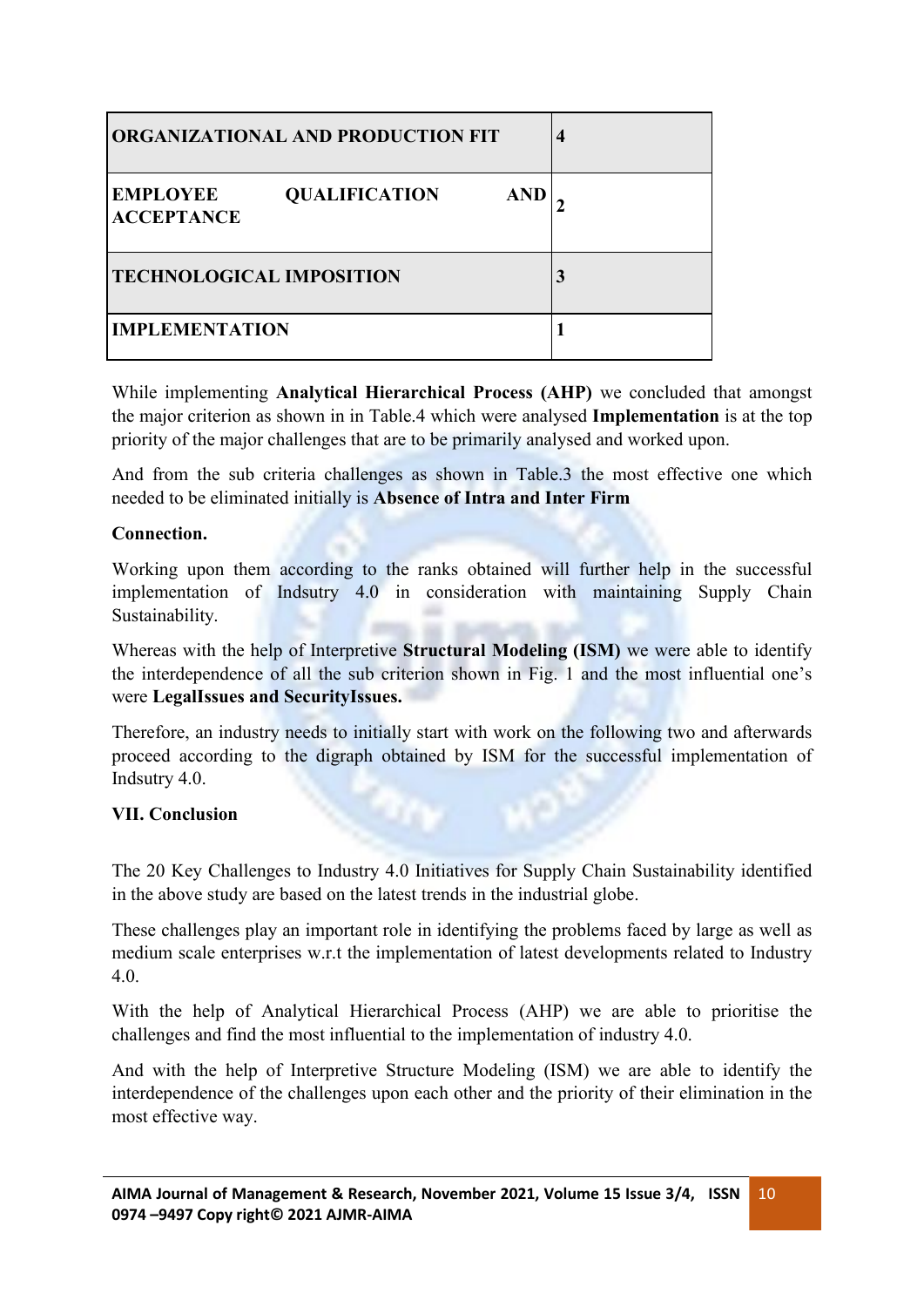| <b>ORGANIZATIONAL AND PRODUCTION FIT</b>                                   | 4 |  |
|----------------------------------------------------------------------------|---|--|
| <b>EMPLOYEE</b><br><b>QUALIFICATION</b><br><b>AND</b><br><b>ACCEPTANCE</b> |   |  |
| <b>TECHNOLOGICAL IMPOSITION</b>                                            | 3 |  |
| <b>IMPLEMENTATION</b>                                                      |   |  |

While implementing **Analytical Hierarchical Process (AHP)** we concluded that amongst the major criterion as shown in in Table.4 which were analysed **Implementation** is at the top priority of the major challenges that are to be primarily analysed and worked upon.

And from the sub criteria challenges as shown in Table.3 the most effective one which needed to be eliminated initially is **Absence of Intra and Inter Firm**

#### **Connection.**

Working upon them according to the ranks obtained will further help in the successful implementation of Indsutry 4.0 in consideration with maintaining Supply Chain Sustainability.

Whereas with the help of Interpretive **Structural Modeling (ISM)** we were able to identify the interdependence of all the sub criterion shown in Fig. 1 and the most influential one's were **LegalIssues and SecurityIssues.**

Therefore, an industry needs to initially start with work on the following two and afterwards proceed according to the digraph obtained by ISM for the successful implementation of Indsutry 4.0.

## **VII. Conclusion**

The 20 Key Challenges to Industry 4.0 Initiatives for Supply Chain Sustainability identified in the above study are based on the latest trends in the industrial globe.

These challenges play an important role in identifying the problems faced by large as well as medium scale enterprises w.r.t the implementation of latest developments related to Industry 4.0.

With the help of Analytical Hierarchical Process (AHP) we are able to prioritise the challenges and find the most influential to the implementation of industry 4.0.

And with the help of Interpretive Structure Modeling (ISM) we are able to identify the interdependence of the challenges upon each other and the priority of their elimination in the most effective way.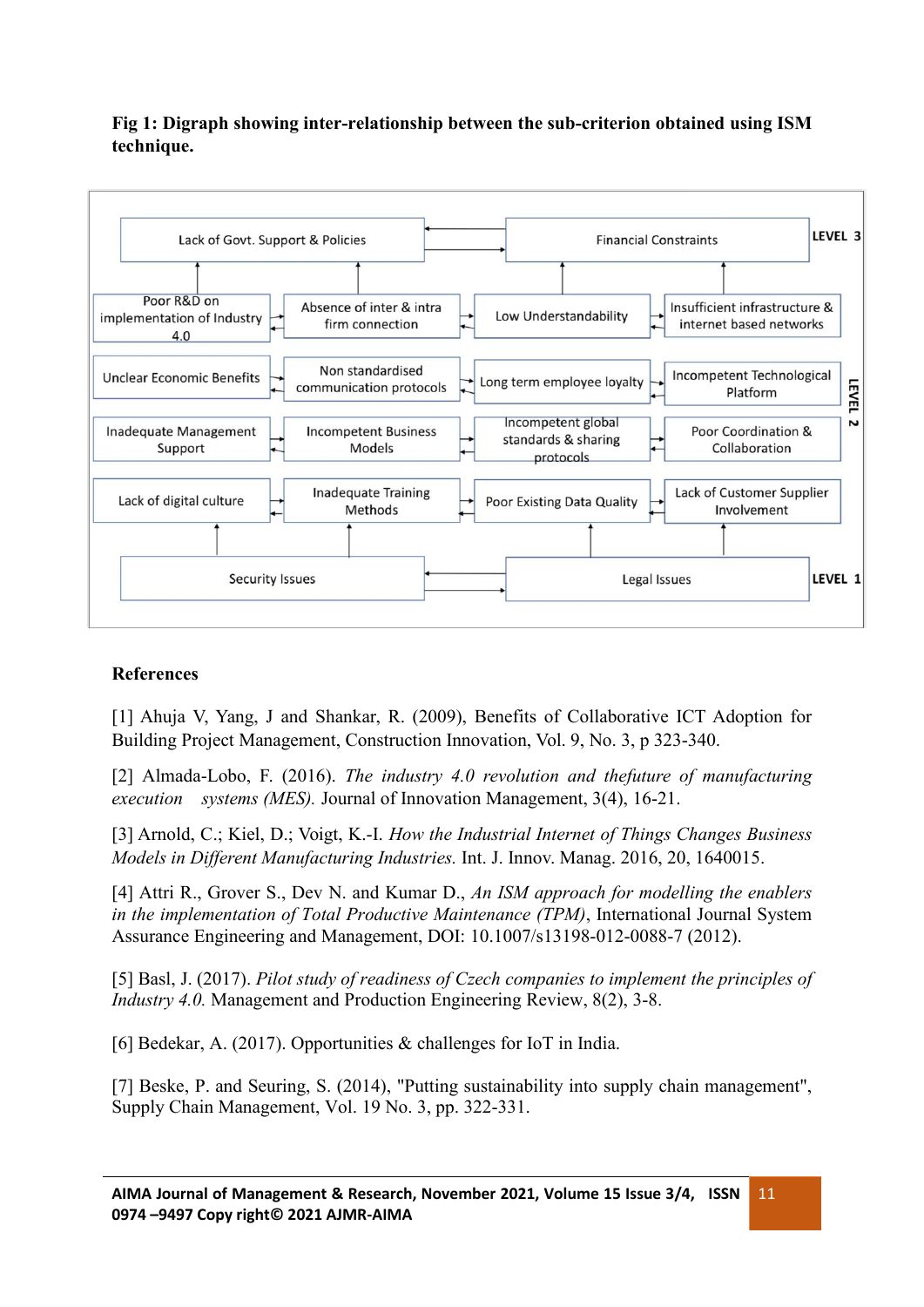# **Fig 1: Digraph showing inter-relationship between the sub-criterion obtained using ISM technique.**



# **References**

[1] Ahuja V, Yang, J and Shankar, R. (2009), Benefits of Collaborative ICT Adoption for Building Project Management, Construction Innovation, Vol. 9, No. 3, p 323-340.

[2] Almada-Lobo, F. (2016). *The industry 4.0 revolution and thefuture of manufacturing execution systems (MES).* Journal of Innovation Management, 3(4), 16-21.

[3] Arnold, C.; Kiel, D.; Voigt, K.-I. *How the Industrial Internet of Things Changes Business Models in Dif erent Manufacturing Industries.* Int. J. Innov. Manag. 2016, 20, 1640015.

[4] Attri R., Grover S., Dev N. and Kumar D.,*An ISM approach for modelling the enablers in the implementation of Total Productive Maintenance (TPM)*, International Journal System Assurance Engineering and Management, DOI: 10.1007/s13198-012-0088-7 (2012).

[5] Basl, J. (2017). *Pilot study of readiness of Czech companies to implement the principles of Industry 4.0.* Management and Production Engineering Review, 8(2), 3-8.

[6] Bedekar, A. (2017). Opportunities & challenges for IoT in India.

[7] Beske, P. and Seuring, S. (2014), "Putting sustainability into supply chain management", Supply Chain Management, Vol. 19 No. 3, pp. 322-331.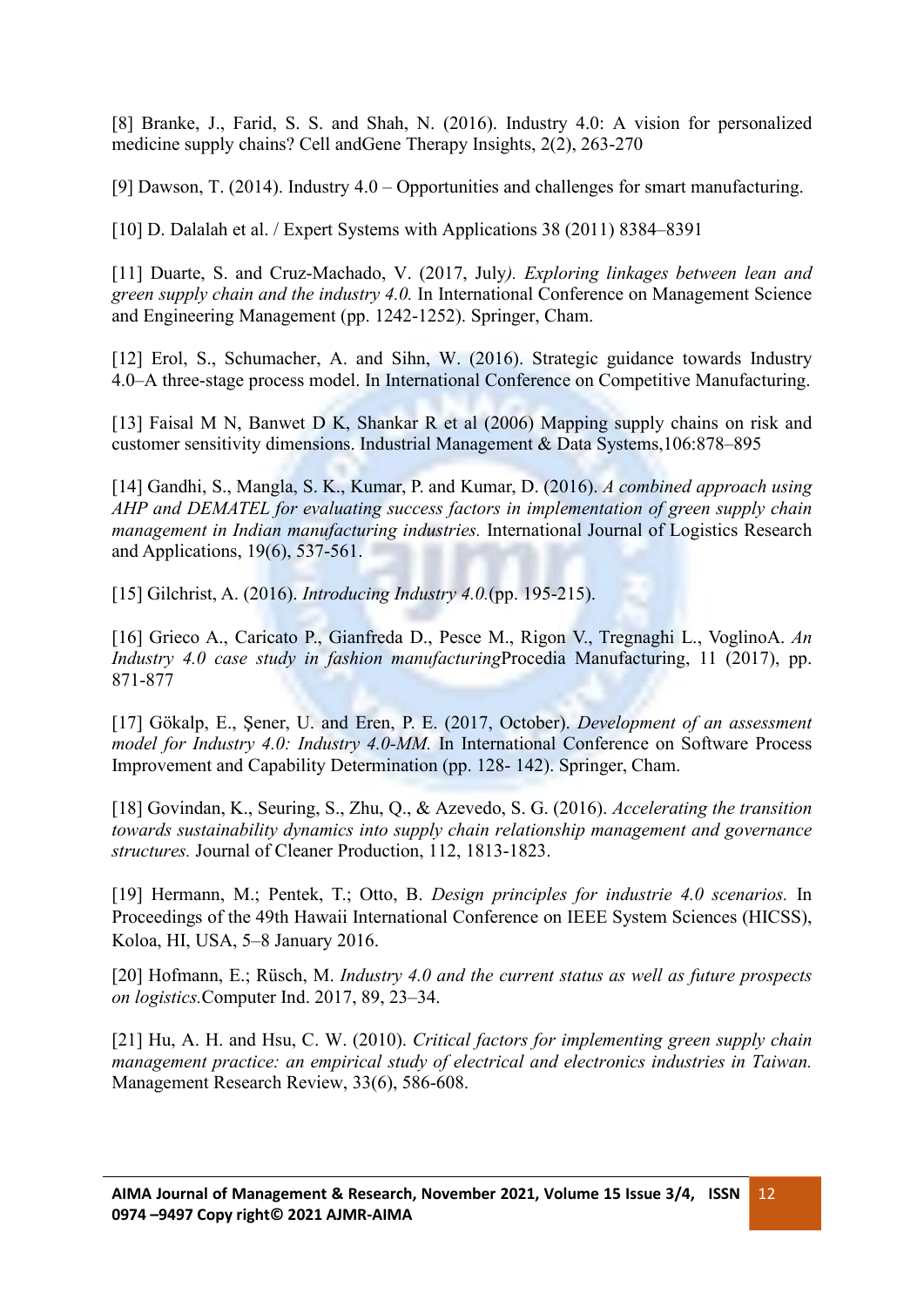[8] Branke, J., Farid, S. S. and Shah, N. (2016). Industry 4.0: A vision for personalized medicine supply chains? Cell andGene Therapy Insights, 2(2), 263-270

[9] Dawson, T. (2014). Industry 4.0 – Opportunities and challenges for smart manufacturing.

[10] D. Dalalah et al. / Expert Systems with Applications 38 (2011) 8384–8391

[11] Duarte, S. and Cruz-Machado, V. (2017, July*). Exploring linkages between lean and green supply chain and the industry 4.0.* In International Conference on Management Science and Engineering Management (pp. 1242-1252). Springer, Cham.

[12] Erol, S., Schumacher, A. and Sihn, W. (2016). Strategic guidance towards Industry 4.0–A three-stage process model. In International Conference on Competitive Manufacturing.

[13] Faisal M N, Banwet D K, Shankar R et al (2006) Mapping supply chains on risk and customer sensitivity dimensions. Industrial Management & Data Systems,106:878–895

[14] Gandhi, S., Mangla, S. K., Kumar, P. and Kumar, D. (2016). *A combined approach using AHP and DEMATEL for evaluating success factors in implementation of green supply chain management in Indian manufacturing industries.* International Journal of Logistics Research and Applications, 19(6), 537-561.

[15] Gilchrist, A. (2016). *Introducing Industry 4.0.*(pp. 195-215).

[16] Grieco A., Caricato P., Gianfreda D., Pesce M., Rigon V., Tregnaghi L., VoglinoA. *An Industry 4.0 case study in fashion manufacturing*Procedia Manufacturing, 11 (2017), pp. 871-877

[17] Gökalp, E., Şener, U. and Eren, P. E.(2017, October). *Development of an assessment model for Industry 4.0: Industry 4.0-MM.* In International Conference on Software Process Improvement and Capability Determination (pp. 128- 142). Springer, Cham.

[18] Govindan, K., Seuring, S., Zhu, Q., & Azevedo, S. G. (2016). *Accelerating the transition towards sustainability dynamics into supply chain relationship management and governance structures.* Journal of Cleaner Production, 112, 1813-1823.

[19] Hermann, M.; Pentek, T.; Otto, B. *Design principles for industrie 4.0 scenarios.* In Proceedings of the 49th Hawaii International Conference on IEEE System Sciences (HICSS), Koloa, HI, USA, 5–8 January 2016.

[20] Hofmann, E.; Rüsch, M. *Industry 4.0 and the current status as well as future prospects on logistics.*Computer Ind. 2017, 89, 23–34.

[21] Hu, A. H. and Hsu, C. W. (2010). *Critical factors for implementing green supply chain management practice: an empirical study of electrical and electronics industries in Taiwan.* Management Research Review, 33(6), 586-608.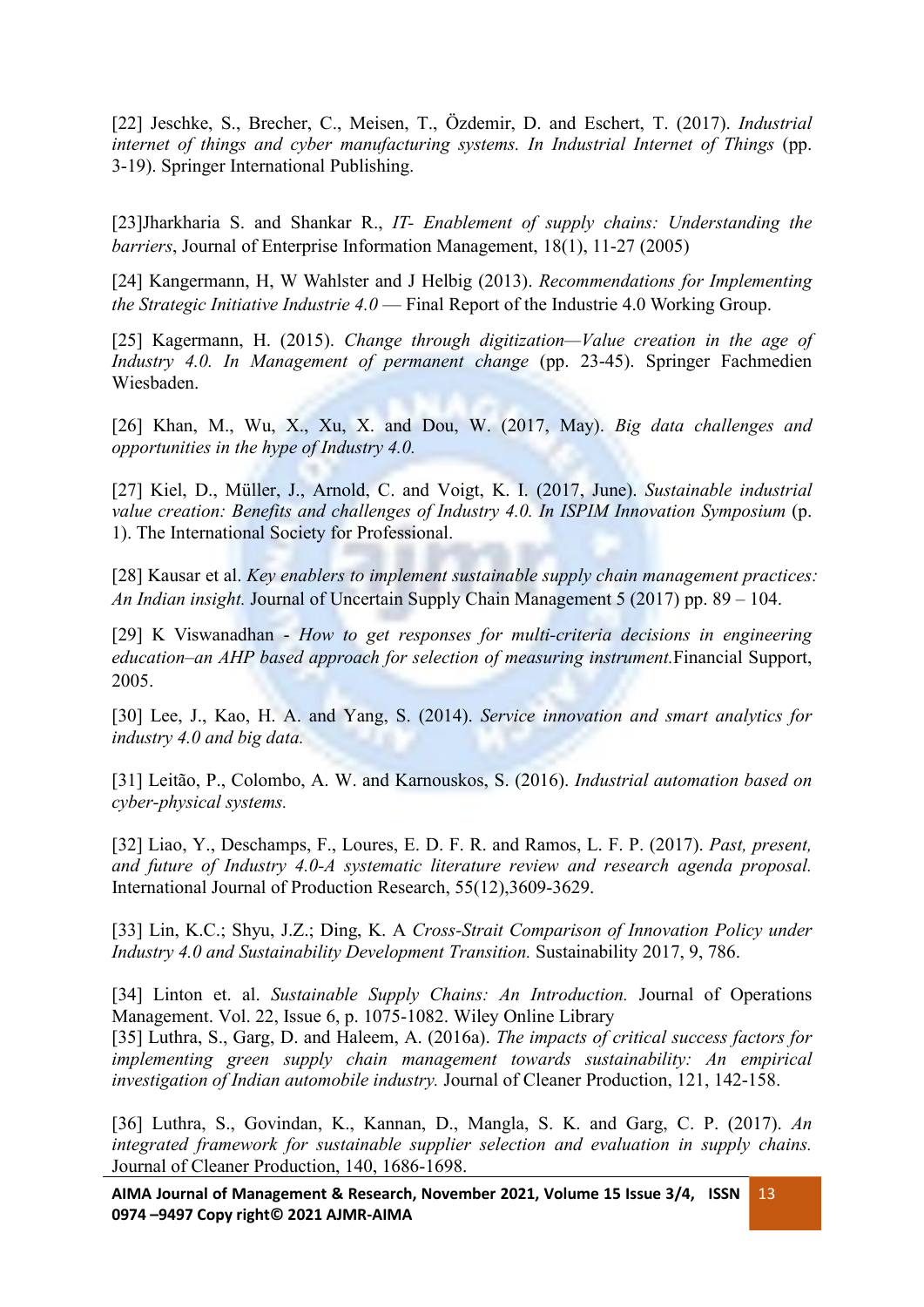[22] Jeschke, S., Brecher, C., Meisen, T., Özdemir, D. and Eschert, T. (2017). *Industrial internet of things and cyber manufacturing systems. In Industrial Internet of Things* (pp. 3-19). Springer International Publishing.

[23]Jharkharia S. and Shankar R., *IT- Enablement of supply chains: Understanding the barriers*, Journal of Enterprise Information Management, 18(1), 11-27 (2005)

[24] Kangermann, H, W Wahlster and J Helbig (2013). *Recommendations for Implementing the Strategic Initiative Industrie 4.0* — Final Report of the Industrie 4.0 Working Group.

[25] Kagermann, H. (2015). *Change through digitization—Value creation in the age of Industry 4.0. In Management of permanent change* (pp. 23-45). Springer Fachmedien Wiesbaden.

[26] Khan, M., Wu, X., Xu, X. and Dou, W. (2017, May). *Big data challenges and opportunities in the hype ofIndustry 4.0.*

[27] Kiel, D., Müller, J., Arnold, C. and Voigt, K. I. (2017, June). *Sustainable industrial value creation: Benefits and challenges of Industry 4.0. In ISPIM Innovation Symposium* (p. 1). The International Society for Professional.

[28] Kausar et al. *Key enablers to implement sustainable supply chain management practices: An Indian insight.* Journal of Uncertain Supply Chain Management 5 (2017) pp. 89 – 104.

[29] K Viswanadhan - *How to get responses for multi-criteria decisions in engineering education–an AHP based approach for selection of measuring instrument.*Financial Support, 2005.

[30] Lee, J., Kao, H. A. and Yang, S. (2014). *Service innovation and smart analytics for industry 4.0 and big data.*

[31] Leitão, P., Colombo, A. W. and Karnouskos, S. (2016). *Industrial automation based on cyber-physical systems.*

[32] Liao, Y., Deschamps, F., Loures, E. D. F. R. and Ramos, L. F. P. (2017). *Past, present, and future of Industry 4.0-A systematic literature review and research agenda proposal.* International Journal of Production Research, 55(12),3609-3629.

[33] Lin, K.C.; Shyu, J.Z.; Ding, K. A *Cross-Strait Comparison of Innovation Policy under Industry 4.0 and Sustainability Development Transition.* Sustainability 2017, 9, 786.

[34] Linton et. al. *Sustainable Supply Chains: An Introduction.* Journal of Operations Management. Vol. 22, Issue 6, p. 1075-1082. Wiley Online Library

[35] Luthra, S., Garg, D. and Haleem, A. (2016a). *The impacts of critical success factors for implementing green supply chain management towards sustainability: An empirical investigation of Indian automobile industry.* Journal of Cleaner Production, 121, 142-158.

[36] Luthra, S., Govindan, K., Kannan, D., Mangla, S. K. and Garg, C. P. (2017). *An integrated framework for sustainable supplier selection and evaluation in supply chains.* Journal of Cleaner Production, 140, 1686-1698.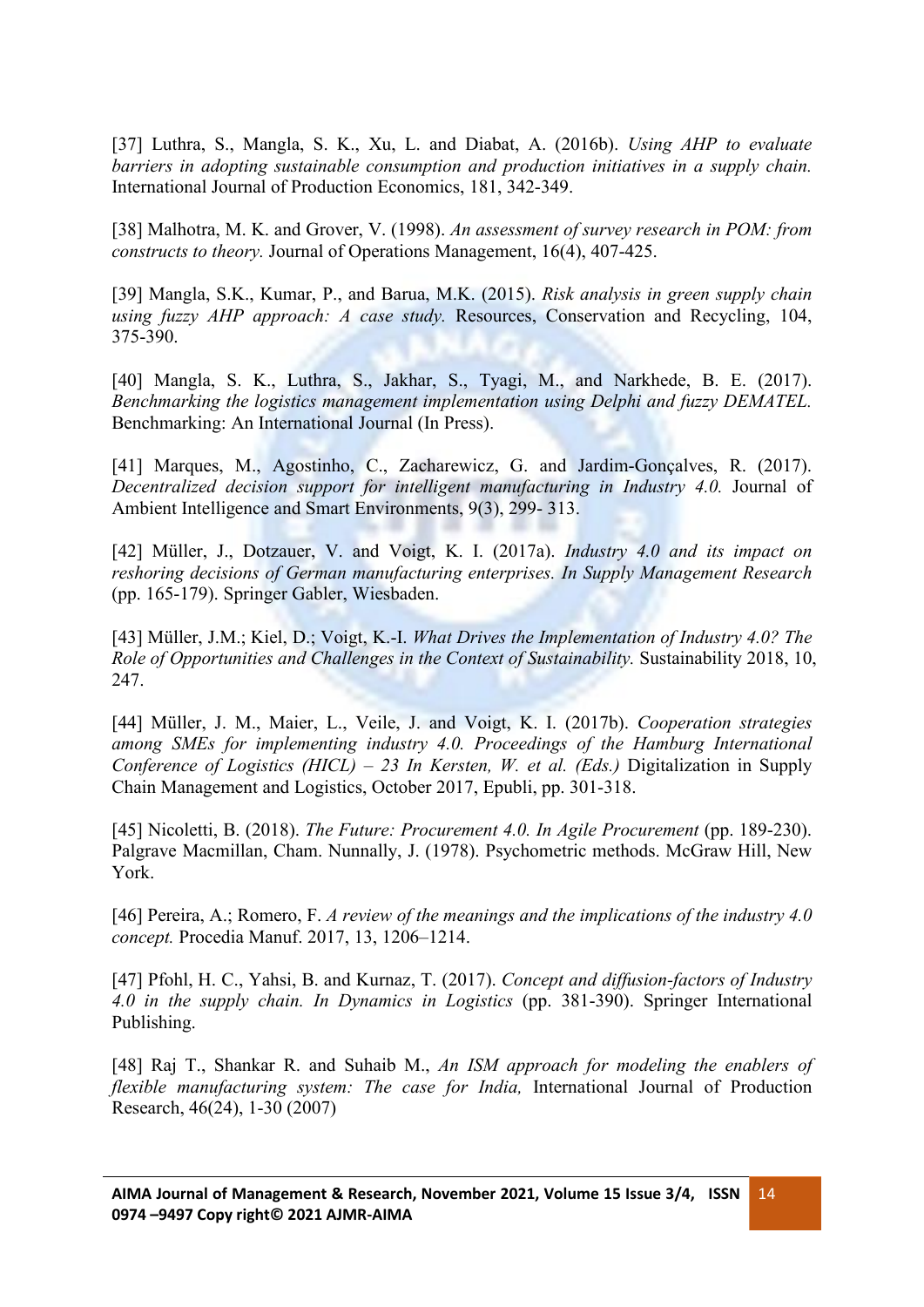[37] Luthra, S., Mangla, S. K., Xu, L. and Diabat, A. (2016b). *Using AHP to evaluate barriers in adopting sustainable consumption and production initiatives in a supply chain.* International Journal of Production Economics, 181, 342-349.

[38] Malhotra, M. K. and Grover, V. (1998). *An assessment of survey research in POM: from constructs to theory.* Journal of Operations Management, 16(4), 407-425.

[39] Mangla, S.K., Kumar, P., and Barua, M.K. (2015). *Risk analysis in green supply chain using fuzzy AHP approach: A case study.* Resources, Conservation and Recycling,104, 375-390.

[40] Mangla, S. K., Luthra, S., Jakhar, S., Tyagi, M., and Narkhede, B. E. (2017). *Benchmarking the logistics management implementation using Delphi and fuzzy DEMATEL.* Benchmarking: An International Journal (In Press).

[41] Marques, M., Agostinho, C., Zacharewicz, G. and Jardim-Gonçalves, R. (2017). *Decentralized decision support for intelligent manufacturing in Industry 4.0.* Journal of Ambient Intelligence and Smart Environments, 9(3), 299- 313.

[42] Müller, J., Dotzauer, V. and Voigt, K. I. (2017a). *Industry 4.0 and its impact on reshoring decisions of German manufacturing enterprises. In Supply Management Research* (pp. 165-179). Springer Gabler, Wiesbaden.

[43] Müller, J.M.; Kiel, D.; Voigt, K.-I. *What Drives the Implementation of Industry 4.0? The Role of Opportunities and Challenges in the Context of Sustainability.* Sustainability 2018, 10, 247.

[44] Müller, J. M., Maier, L., Veile, J. and Voigt, K. I. (2017b). *Cooperation strategies among SMEs for implementing industry 4.0. Proceedings of the Hamburg International Conference of Logistics (HICL) – 23 In Kersten, W. et al. (Eds.)* Digitalization in Supply Chain Management and Logistics, October 2017, Epubli, pp. 301-318.

[45] Nicoletti, B. (2018). *The Future: Procurement 4.0. In Agile Procurement* (pp. 189-230). Palgrave Macmillan, Cham. Nunnally, J. (1978). Psychometric methods. McGraw Hill, New York.

[46] Pereira, A.; Romero, F. *A review of the meanings and the implications of the industry 4.0 concept.* Procedia Manuf. 2017, 13, 1206–1214.

[47] Pfohl, H. C., Yahsi, B. and Kurnaz, T. (2017). *Concept and dif usion-factors of Industry 4.0 in the supply chain. In Dynamics in Logistics* (pp. 381-390). Springer International Publishing.

[48] Raj T., Shankar R. and Suhaib M., *An ISM approach for modeling the enablers of flexible manufacturing system: The case for India,* International Journal of Production Research, 46(24), 1-30 (2007)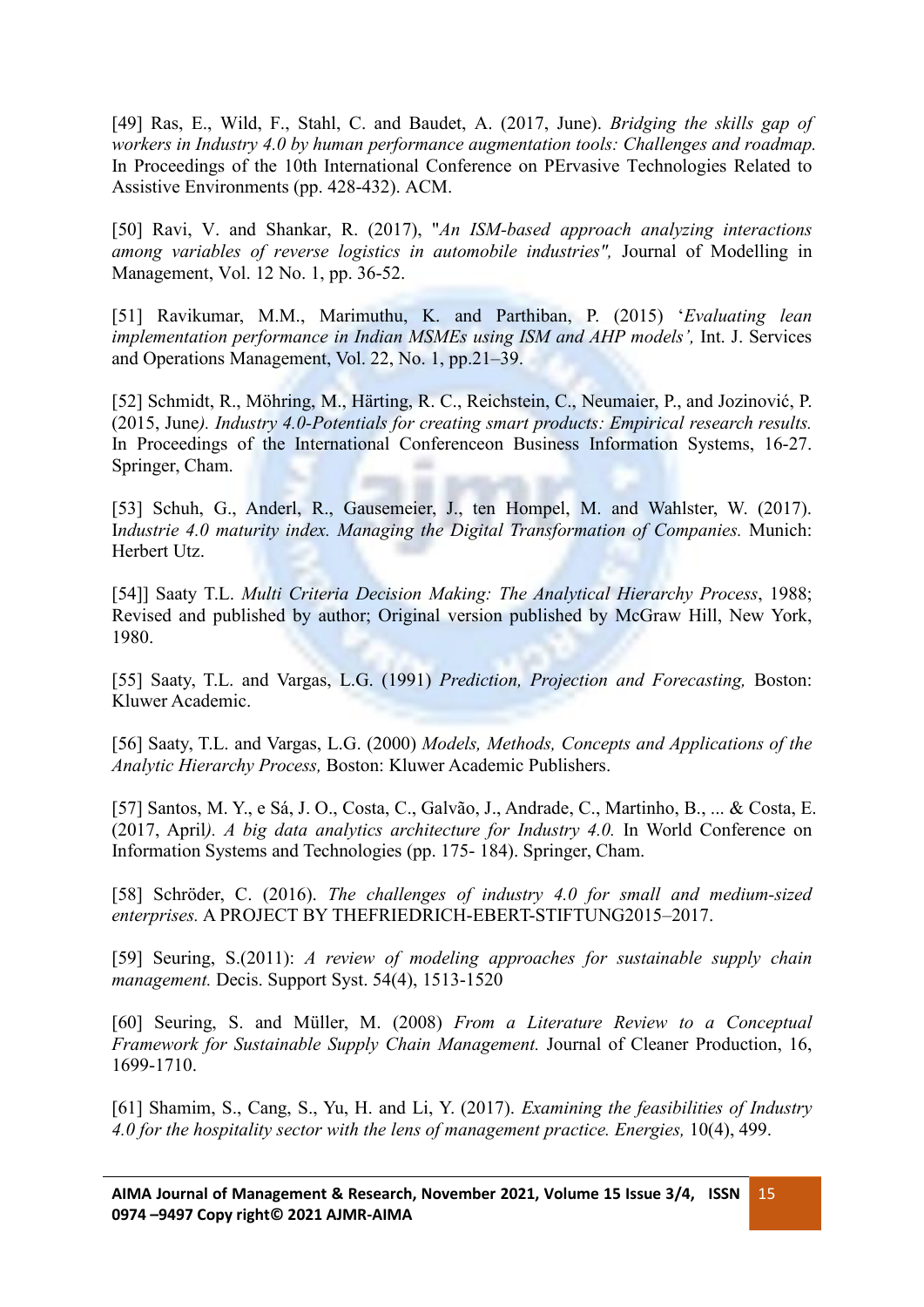[49] Ras, E., Wild, F., Stahl, C. and Baudet, A. (2017, June). *Bridging the skills gap of workers in Industry 4.0 by human performance augmentation tools: Challenges and roadmap.* In Proceedings of the 10th International Conference on PErvasive Technologies Related to Assistive Environments (pp. 428-432). ACM.

[50] Ravi, V. and Shankar, R. (2017), "*An ISM-based approach analyzing interactions among variables of reverse logistics in automobile industries",* Journal of Modelling in Management, Vol. 12 No. 1, pp. 36-52.

[51] Ravikumar, M.M., Marimuthu, K. and Parthiban, P. (2015) '*Evaluating lean implementation performance in Indian MSMEs using ISM and AHP models',* Int. J. Services and Operations Management, Vol. 22, No. 1, pp.21–39.

[52] Schmidt, R., Möhring, M., Härting, R. C., Reichstein, C., Neumaier, P., and Jozinović, P. (2015, June*). Industry 4.0-Potentials for creating smart products: Empirical research results.* In Proceedings of the International Conferenceon Business Information Systems, 16-27. Springer, Cham.

[53] Schuh, G., Anderl, R., Gausemeier, J., ten Hompel, M. and Wahlster, W. (2017). I*ndustrie 4.0 maturity index. Managing the DigitalTransformation of Companies.* Munich: Herbert Utz.

[54]] Saaty T.L. *Multi Criteria Decision Making: The Analytical Hierarchy Process*, 1988; Revised and published by author; Original version published by McGraw Hill, New York, 1980.

[55] Saaty, T.L. and Vargas, L.G. (1991) *Prediction, Projection and Forecasting,* Boston: Kluwer Academic.

[56] Saaty, T.L. and Vargas, L.G. (2000) *Models, Methods, Concepts and Applications of the Analytic Hierarchy Process,* Boston: Kluwer Academic Publishers.

[57] Santos, M. Y., e Sá, J. O., Costa, C., Galvão, J., Andrade, C., Martinho, B., ... & Costa, E. (2017, April*). A big data analytics architecture for Industry 4.0.* In World Conference on Information Systems and Technologies (pp. 175- 184). Springer, Cham.

[58] Schröder, C. (2016). *The challenges of industry 4.0 for small and medium-sized enterprises.* A PROJECT BY THEFRIEDRICH-EBERT-STIFTUNG2015–2017.

[59] Seuring, S.(2011): *A review of modeling approaches for sustainable supply chain management.* Decis. Support Syst. 54(4), 1513-1520

[60] Seuring, S. and Müller, M. (2008) *From a Literature Review to a Conceptual Framework for Sustainable Supply Chain Management.* Journal of Cleaner Production, 16, 1699-1710.

[61] Shamim, S., Cang, S., Yu, H. and Li, Y. (2017). *Examining the feasibilities of Industry 4.0 for the hospitality sector with the lens of management practice. Energies,* 10(4), 499.